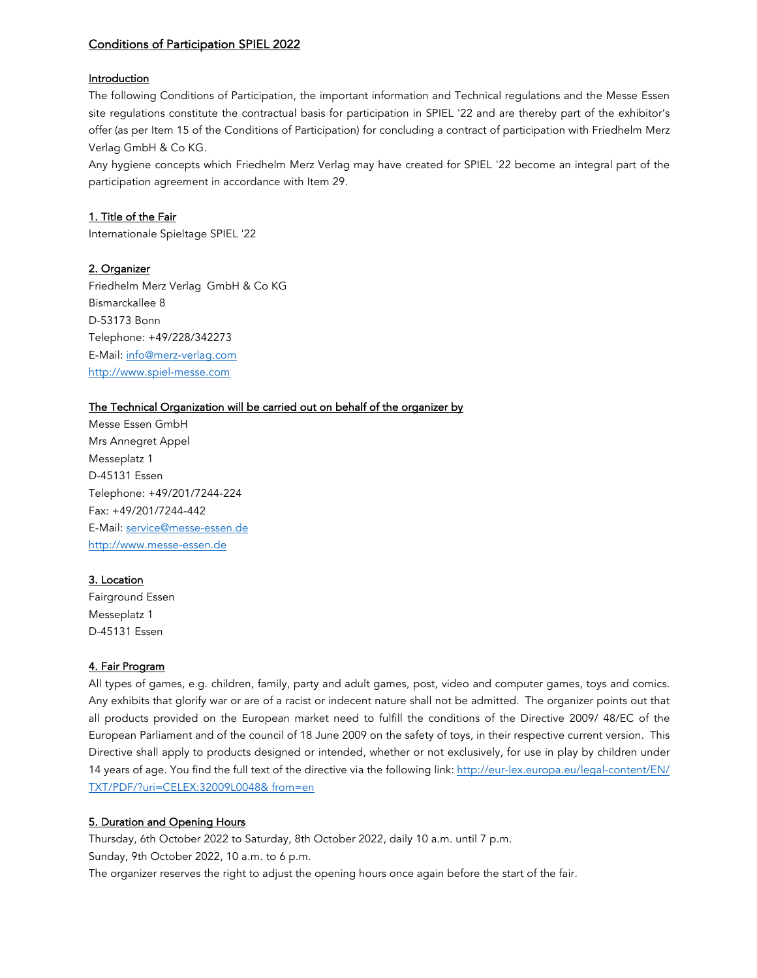# Conditions of Participation SPIEL 2022

## Introduction

The following Conditions of Participation, the important information and Technical regulations and the Messe Essen site regulations constitute the contractual basis for participation in SPIEL '22 and are thereby part of the exhibitor's offer (as per Item 15 of the Conditions of Participation) for concluding a contract of participation with Friedhelm Merz Verlag GmbH & Co KG.

Any hygiene concepts which Friedhelm Merz Verlag may have created for SPIEL '22 become an integral part of the participation agreement in accordance with Item 29.

## 1. Title of the Fair

Internationale Spieltage SPIEL '22

### 2. Organizer

Friedhelm Merz Verlag GmbH & Co KG Bismarckallee 8 D-53173 Bonn Telephone: +49/228/342273 E-Mail: info@merz-verlag.com http://www.spiel-messe.com

# The Technical Organization will be carried out on behalf of the organizer by

Messe Essen GmbH Mrs Annegret Appel Messeplatz 1 D-45131 Essen Telephone: +49/201/7244-224 Fax: +49/201/7244-442 E-Mail: service@messe-essen.de http://www.messe-essen.de

#### 3. Location

Fairground Essen Messeplatz 1 D-45131 Essen

#### 4. Fair Program

All types of games, e.g. children, family, party and adult games, post, video and computer games, toys and comics. Any exhibits that glorify war or are of a racist or indecent nature shall not be admitted. The organizer points out that all products provided on the European market need to fulfill the conditions of the Directive 2009/ 48/EC of the European Parliament and of the council of 18 June 2009 on the safety of toys, in their respective current version. This Directive shall apply to products designed or intended, whether or not exclusively, for use in play by children under 14 years of age. You find the full text of the directive via the following link: http://eur-lex.europa.eu/legal-content/EN/ TXT/PDF/?uri=CELEX:32009L0048& from=en

#### 5. Duration and Opening Hours

Thursday, 6th October 2022 to Saturday, 8th October 2022, daily 10 a.m. until 7 p.m. Sunday, 9th October 2022, 10 a.m. to 6 p.m. The organizer reserves the right to adjust the opening hours once again before the start of the fair.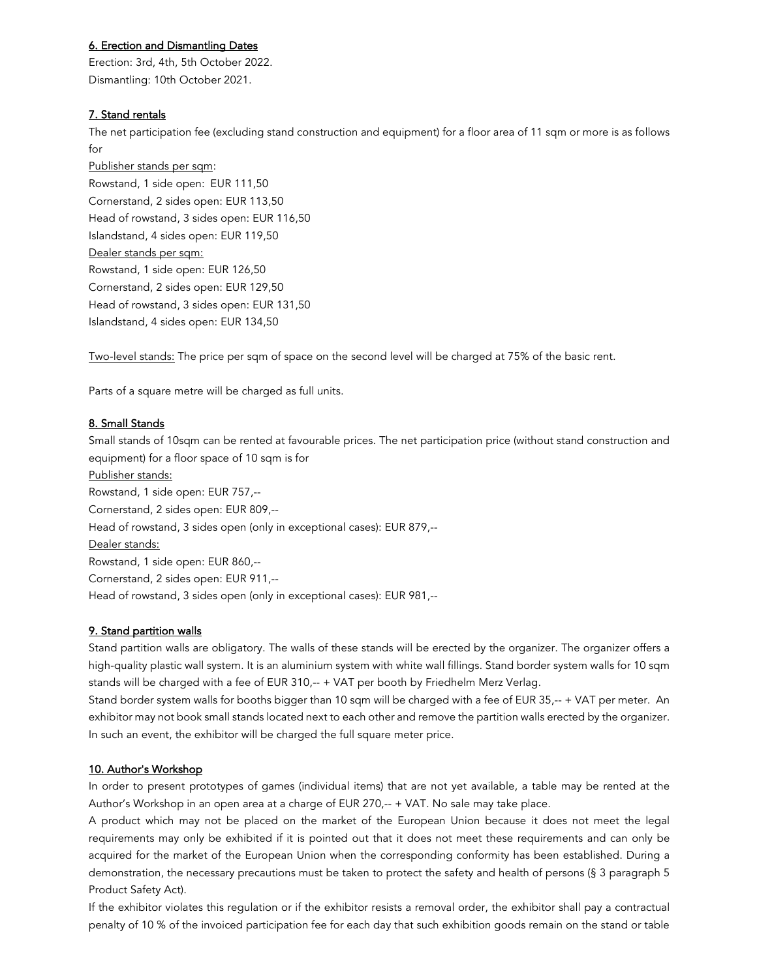# 6. Erection and Dismantling Dates

Erection: 3rd, 4th, 5th October 2022. Dismantling: 10th October 2021.

# 7. Stand rentals

The net participation fee (excluding stand construction and equipment) for a floor area of 11 sqm or more is as follows for

Publisher stands per sqm: Rowstand, 1 side open: EUR 111,50 Cornerstand, 2 sides open: EUR 113,50 Head of rowstand, 3 sides open: EUR 116,50 Islandstand, 4 sides open: EUR 119,50 Dealer stands per sqm: Rowstand, 1 side open: EUR 126,50 Cornerstand, 2 sides open: EUR 129,50 Head of rowstand, 3 sides open: EUR 131,50 Islandstand, 4 sides open: EUR 134,50

Two-level stands: The price per sqm of space on the second level will be charged at 75% of the basic rent.

Parts of a square metre will be charged as full units.

### 8. Small Stands

Small stands of 10sqm can be rented at favourable prices. The net participation price (without stand construction and equipment) for a floor space of 10 sqm is for Publisher stands: Rowstand, 1 side open: EUR 757,-- Cornerstand, 2 sides open: EUR 809,-- Head of rowstand, 3 sides open (only in exceptional cases): EUR 879,-- Dealer stands: Rowstand, 1 side open: EUR 860,-- Cornerstand, 2 sides open: EUR 911,-- Head of rowstand, 3 sides open (only in exceptional cases): EUR 981,--

# 9. Stand partition walls

Stand partition walls are obligatory. The walls of these stands will be erected by the organizer. The organizer offers a high-quality plastic wall system. It is an aluminium system with white wall fillings. Stand border system walls for 10 sqm stands will be charged with a fee of EUR 310,-- + VAT per booth by Friedhelm Merz Verlag.

Stand border system walls for booths bigger than 10 sqm will be charged with a fee of EUR 35,-- + VAT per meter. An exhibitor may not book small stands located next to each other and remove the partition walls erected by the organizer. In such an event, the exhibitor will be charged the full square meter price.

# 10. Author's Workshop

In order to present prototypes of games (individual items) that are not yet available, a table may be rented at the Author's Workshop in an open area at a charge of EUR 270,-- + VAT. No sale may take place.

A product which may not be placed on the market of the European Union because it does not meet the legal requirements may only be exhibited if it is pointed out that it does not meet these requirements and can only be acquired for the market of the European Union when the corresponding conformity has been established. During a demonstration, the necessary precautions must be taken to protect the safety and health of persons (§ 3 paragraph 5 Product Safety Act).

If the exhibitor violates this regulation or if the exhibitor resists a removal order, the exhibitor shall pay a contractual penalty of 10 % of the invoiced participation fee for each day that such exhibition goods remain on the stand or table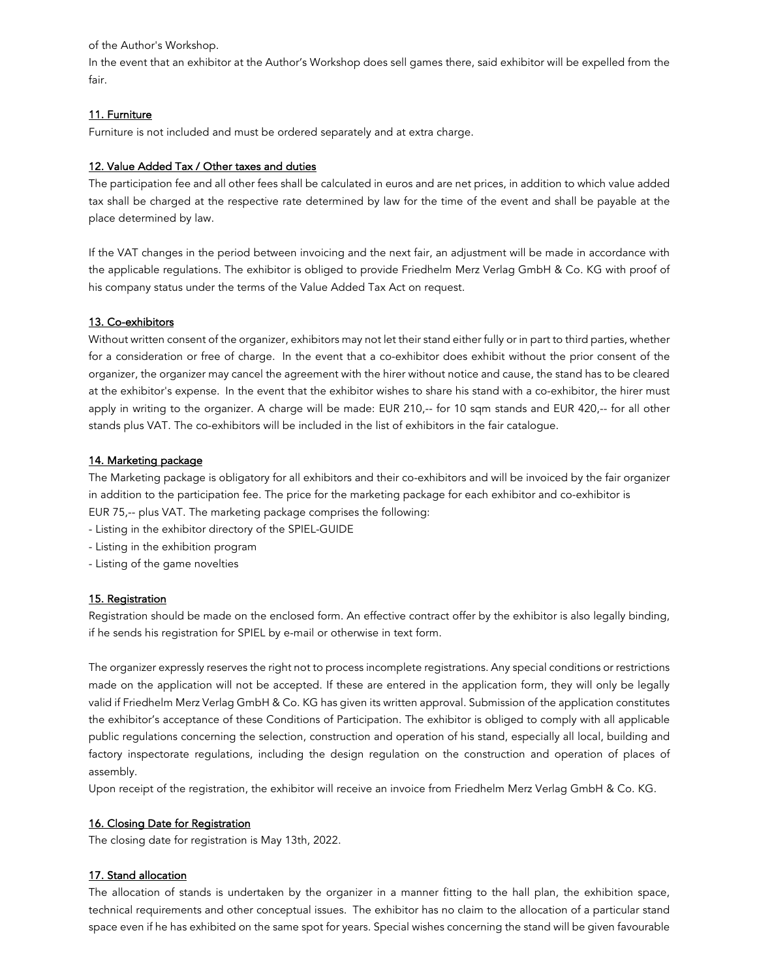of the Author's Workshop.

In the event that an exhibitor at the Author's Workshop does sell games there, said exhibitor will be expelled from the fair.

# 11. Furniture

Furniture is not included and must be ordered separately and at extra charge.

# 12. Value Added Tax / Other taxes and duties

The participation fee and all other fees shall be calculated in euros and are net prices, in addition to which value added tax shall be charged at the respective rate determined by law for the time of the event and shall be payable at the place determined by law.

If the VAT changes in the period between invoicing and the next fair, an adjustment will be made in accordance with the applicable regulations. The exhibitor is obliged to provide Friedhelm Merz Verlag GmbH & Co. KG with proof of his company status under the terms of the Value Added Tax Act on request.

# 13. Co-exhibitors

Without written consent of the organizer, exhibitors may not let their stand either fully or in part to third parties, whether for a consideration or free of charge. In the event that a co-exhibitor does exhibit without the prior consent of the organizer, the organizer may cancel the agreement with the hirer without notice and cause, the stand has to be cleared at the exhibitor's expense. In the event that the exhibitor wishes to share his stand with a co-exhibitor, the hirer must apply in writing to the organizer. A charge will be made: EUR 210,-- for 10 sqm stands and EUR 420,-- for all other stands plus VAT. The co-exhibitors will be included in the list of exhibitors in the fair catalogue.

# 14. Marketing package

The Marketing package is obligatory for all exhibitors and their co-exhibitors and will be invoiced by the fair organizer in addition to the participation fee. The price for the marketing package for each exhibitor and co-exhibitor is EUR 75,-- plus VAT. The marketing package comprises the following:

- Listing in the exhibitor directory of the SPIEL-GUIDE
- Listing in the exhibition program
- Listing of the game novelties

# 15. Registration

Registration should be made on the enclosed form. An effective contract offer by the exhibitor is also legally binding, if he sends his registration for SPIEL by e-mail or otherwise in text form.

The organizer expressly reserves the right not to process incomplete registrations. Any special conditions or restrictions made on the application will not be accepted. If these are entered in the application form, they will only be legally valid if Friedhelm Merz Verlag GmbH & Co. KG has given its written approval. Submission of the application constitutes the exhibitor's acceptance of these Conditions of Participation. The exhibitor is obliged to comply with all applicable public regulations concerning the selection, construction and operation of his stand, especially all local, building and factory inspectorate regulations, including the design regulation on the construction and operation of places of assembly.

Upon receipt of the registration, the exhibitor will receive an invoice from Friedhelm Merz Verlag GmbH & Co. KG.

# 16. Closing Date for Registration

The closing date for registration is May 13th, 2022.

# 17. Stand allocation

The allocation of stands is undertaken by the organizer in a manner fitting to the hall plan, the exhibition space, technical requirements and other conceptual issues. The exhibitor has no claim to the allocation of a particular stand space even if he has exhibited on the same spot for years. Special wishes concerning the stand will be given favourable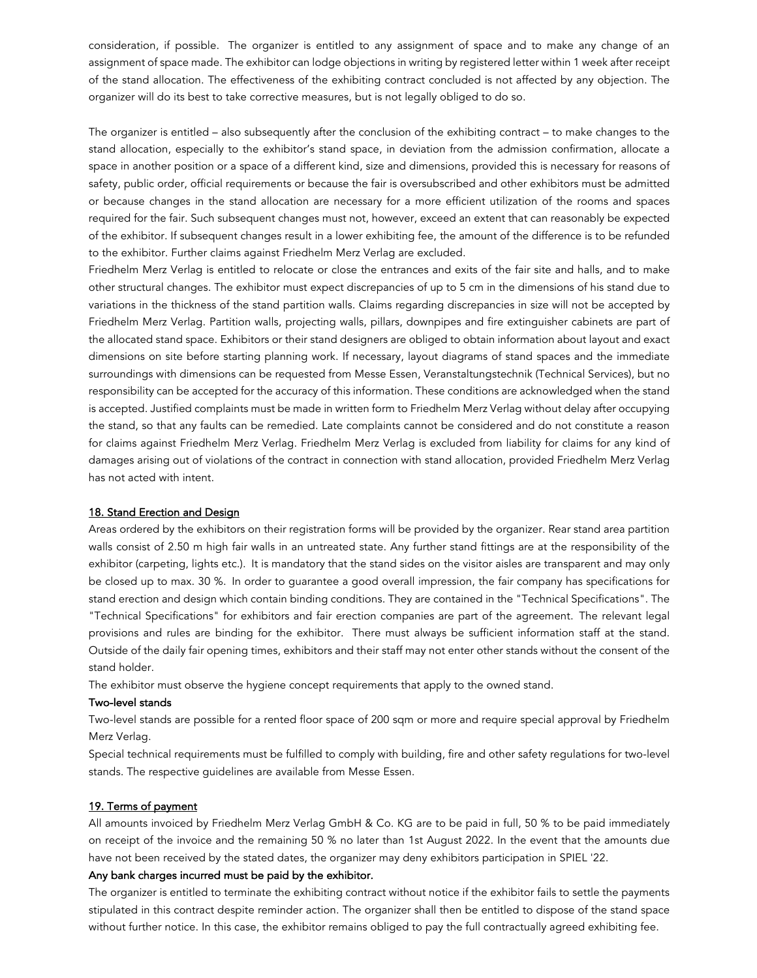consideration, if possible. The organizer is entitled to any assignment of space and to make any change of an assignment of space made. The exhibitor can lodge objections in writing by registered letter within 1 week after receipt of the stand allocation. The effectiveness of the exhibiting contract concluded is not affected by any objection. The organizer will do its best to take corrective measures, but is not legally obliged to do so.

The organizer is entitled – also subsequently after the conclusion of the exhibiting contract – to make changes to the stand allocation, especially to the exhibitor's stand space, in deviation from the admission confirmation, allocate a space in another position or a space of a different kind, size and dimensions, provided this is necessary for reasons of safety, public order, official requirements or because the fair is oversubscribed and other exhibitors must be admitted or because changes in the stand allocation are necessary for a more efficient utilization of the rooms and spaces required for the fair. Such subsequent changes must not, however, exceed an extent that can reasonably be expected of the exhibitor. If subsequent changes result in a lower exhibiting fee, the amount of the difference is to be refunded to the exhibitor. Further claims against Friedhelm Merz Verlag are excluded.

Friedhelm Merz Verlag is entitled to relocate or close the entrances and exits of the fair site and halls, and to make other structural changes. The exhibitor must expect discrepancies of up to 5 cm in the dimensions of his stand due to variations in the thickness of the stand partition walls. Claims regarding discrepancies in size will not be accepted by Friedhelm Merz Verlag. Partition walls, projecting walls, pillars, downpipes and fire extinguisher cabinets are part of the allocated stand space. Exhibitors or their stand designers are obliged to obtain information about layout and exact dimensions on site before starting planning work. If necessary, layout diagrams of stand spaces and the immediate surroundings with dimensions can be requested from Messe Essen, Veranstaltungstechnik (Technical Services), but no responsibility can be accepted for the accuracy of this information. These conditions are acknowledged when the stand is accepted. Justified complaints must be made in written form to Friedhelm Merz Verlag without delay after occupying the stand, so that any faults can be remedied. Late complaints cannot be considered and do not constitute a reason for claims against Friedhelm Merz Verlag. Friedhelm Merz Verlag is excluded from liability for claims for any kind of damages arising out of violations of the contract in connection with stand allocation, provided Friedhelm Merz Verlag has not acted with intent.

# 18. Stand Erection and Design

Areas ordered by the exhibitors on their registration forms will be provided by the organizer. Rear stand area partition walls consist of 2.50 m high fair walls in an untreated state. Any further stand fittings are at the responsibility of the exhibitor (carpeting, lights etc.). It is mandatory that the stand sides on the visitor aisles are transparent and may only be closed up to max. 30 %. In order to guarantee a good overall impression, the fair company has specifications for stand erection and design which contain binding conditions. They are contained in the "Technical Specifications". The "Technical Specifications" for exhibitors and fair erection companies are part of the agreement. The relevant legal provisions and rules are binding for the exhibitor. There must always be sufficient information staff at the stand. Outside of the daily fair opening times, exhibitors and their staff may not enter other stands without the consent of the stand holder.

The exhibitor must observe the hygiene concept requirements that apply to the owned stand.

#### Two-level stands

Two-level stands are possible for a rented floor space of 200 sqm or more and require special approval by Friedhelm Merz Verlag.

Special technical requirements must be fulfilled to comply with building, fire and other safety regulations for two-level stands. The respective guidelines are available from Messe Essen.

#### 19. Terms of payment

All amounts invoiced by Friedhelm Merz Verlag GmbH & Co. KG are to be paid in full, 50 % to be paid immediately on receipt of the invoice and the remaining 50 % no later than 1st August 2022. In the event that the amounts due have not been received by the stated dates, the organizer may deny exhibitors participation in SPIEL '22.

### Any bank charges incurred must be paid by the exhibitor.

The organizer is entitled to terminate the exhibiting contract without notice if the exhibitor fails to settle the payments stipulated in this contract despite reminder action. The organizer shall then be entitled to dispose of the stand space without further notice. In this case, the exhibitor remains obliged to pay the full contractually agreed exhibiting fee.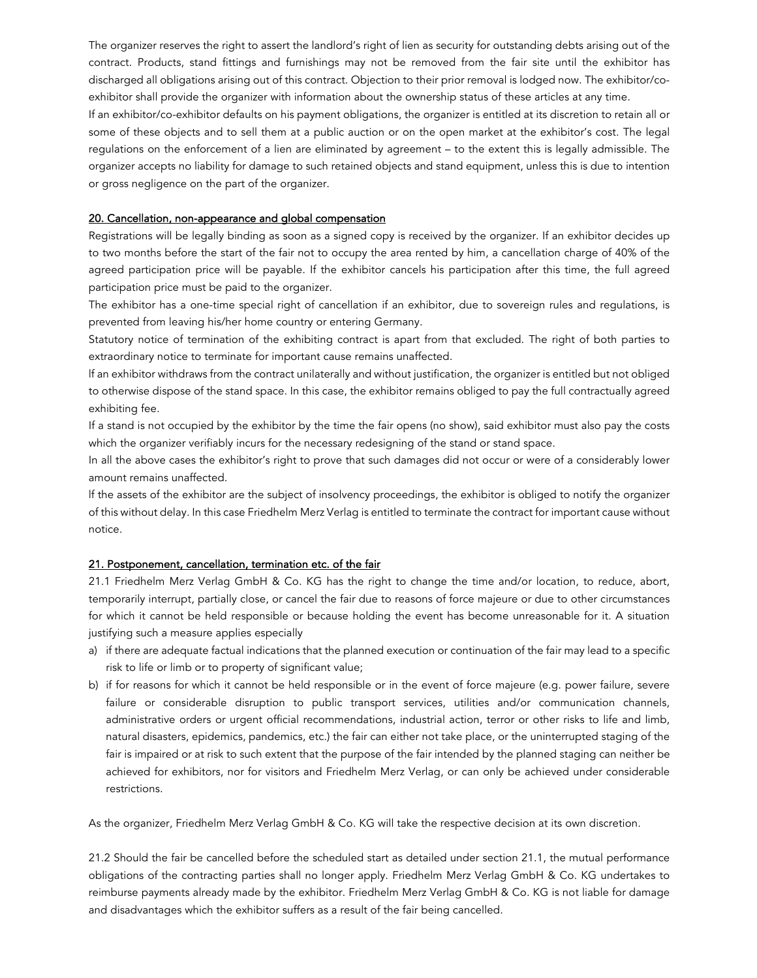The organizer reserves the right to assert the landlord's right of lien as security for outstanding debts arising out of the contract. Products, stand fittings and furnishings may not be removed from the fair site until the exhibitor has discharged all obligations arising out of this contract. Objection to their prior removal is lodged now. The exhibitor/coexhibitor shall provide the organizer with information about the ownership status of these articles at any time.

If an exhibitor/co-exhibitor defaults on his payment obligations, the organizer is entitled at its discretion to retain all or some of these objects and to sell them at a public auction or on the open market at the exhibitor's cost. The legal regulations on the enforcement of a lien are eliminated by agreement – to the extent this is legally admissible. The organizer accepts no liability for damage to such retained objects and stand equipment, unless this is due to intention or gross negligence on the part of the organizer.

### 20. Cancellation, non-appearance and global compensation

Registrations will be legally binding as soon as a signed copy is received by the organizer. If an exhibitor decides up to two months before the start of the fair not to occupy the area rented by him, a cancellation charge of 40% of the agreed participation price will be payable. If the exhibitor cancels his participation after this time, the full agreed participation price must be paid to the organizer.

The exhibitor has a one-time special right of cancellation if an exhibitor, due to sovereign rules and regulations, is prevented from leaving his/her home country or entering Germany.

Statutory notice of termination of the exhibiting contract is apart from that excluded. The right of both parties to extraordinary notice to terminate for important cause remains unaffected.

lf an exhibitor withdraws from the contract unilaterally and without justification, the organizer is entitled but not obliged to otherwise dispose of the stand space. In this case, the exhibitor remains obliged to pay the full contractually agreed exhibiting fee.

If a stand is not occupied by the exhibitor by the time the fair opens (no show), said exhibitor must also pay the costs which the organizer verifiably incurs for the necessary redesigning of the stand or stand space.

In all the above cases the exhibitor's right to prove that such damages did not occur or were of a considerably lower amount remains unaffected.

lf the assets of the exhibitor are the subject of insolvency proceedings, the exhibitor is obliged to notify the organizer of this without delay. In this case Friedhelm Merz Verlag is entitled to terminate the contract for important cause without notice.

#### 21. Postponement, cancellation, termination etc. of the fair

21.1 Friedhelm Merz Verlag GmbH & Co. KG has the right to change the time and/or location, to reduce, abort, temporarily interrupt, partially close, or cancel the fair due to reasons of force majeure or due to other circumstances for which it cannot be held responsible or because holding the event has become unreasonable for it. A situation justifying such a measure applies especially

- a) if there are adequate factual indications that the planned execution or continuation of the fair may lead to a specific risk to life or limb or to property of significant value;
- b) if for reasons for which it cannot be held responsible or in the event of force majeure (e.g. power failure, severe failure or considerable disruption to public transport services, utilities and/or communication channels, administrative orders or urgent official recommendations, industrial action, terror or other risks to life and limb, natural disasters, epidemics, pandemics, etc.) the fair can either not take place, or the uninterrupted staging of the fair is impaired or at risk to such extent that the purpose of the fair intended by the planned staging can neither be achieved for exhibitors, nor for visitors and Friedhelm Merz Verlag, or can only be achieved under considerable restrictions.

As the organizer, Friedhelm Merz Verlag GmbH & Co. KG will take the respective decision at its own discretion.

21.2 Should the fair be cancelled before the scheduled start as detailed under section 21.1, the mutual performance obligations of the contracting parties shall no longer apply. Friedhelm Merz Verlag GmbH & Co. KG undertakes to reimburse payments already made by the exhibitor. Friedhelm Merz Verlag GmbH & Co. KG is not liable for damage and disadvantages which the exhibitor suffers as a result of the fair being cancelled.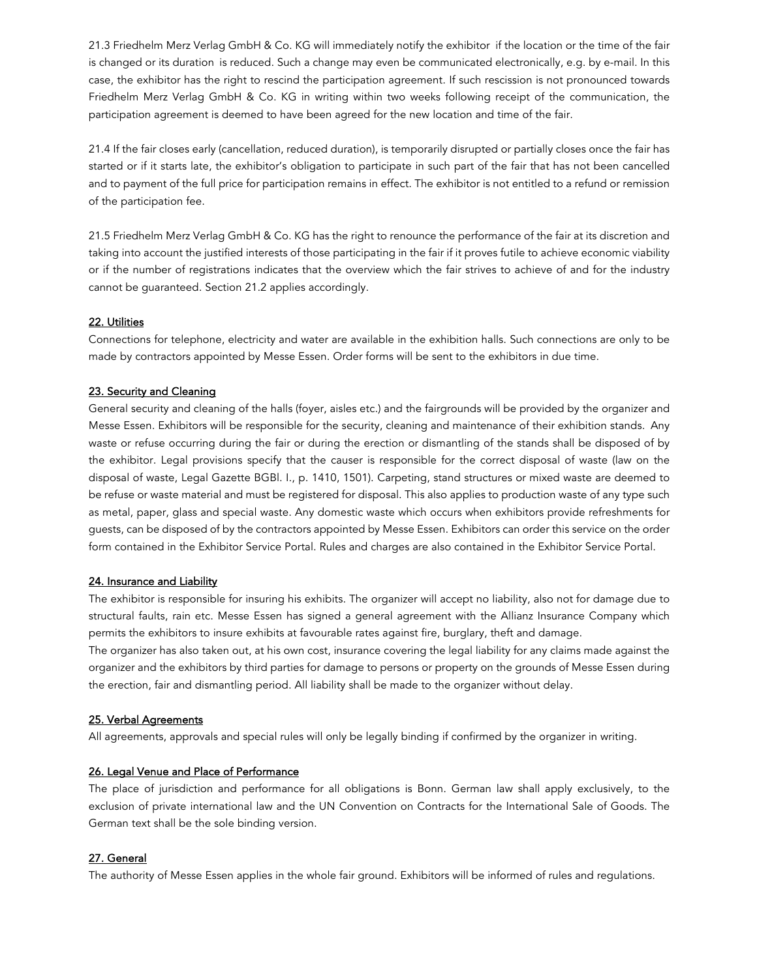21.3 Friedhelm Merz Verlag GmbH & Co. KG will immediately notify the exhibitor if the location or the time of the fair is changed or its duration is reduced. Such a change may even be communicated electronically, e.g. by e-mail. In this case, the exhibitor has the right to rescind the participation agreement. If such rescission is not pronounced towards Friedhelm Merz Verlag GmbH & Co. KG in writing within two weeks following receipt of the communication, the participation agreement is deemed to have been agreed for the new location and time of the fair.

21.4 If the fair closes early (cancellation, reduced duration), is temporarily disrupted or partially closes once the fair has started or if it starts late, the exhibitor's obligation to participate in such part of the fair that has not been cancelled and to payment of the full price for participation remains in effect. The exhibitor is not entitled to a refund or remission of the participation fee.

21.5 Friedhelm Merz Verlag GmbH & Co. KG has the right to renounce the performance of the fair at its discretion and taking into account the justified interests of those participating in the fair if it proves futile to achieve economic viability or if the number of registrations indicates that the overview which the fair strives to achieve of and for the industry cannot be guaranteed. Section 21.2 applies accordingly.

### 22. Utilities

Connections for telephone, electricity and water are available in the exhibition halls. Such connections are only to be made by contractors appointed by Messe Essen. Order forms will be sent to the exhibitors in due time.

### 23. Security and Cleaning

General security and cleaning of the halls (foyer, aisles etc.) and the fairgrounds will be provided by the organizer and Messe Essen. Exhibitors will be responsible for the security, cleaning and maintenance of their exhibition stands. Any waste or refuse occurring during the fair or during the erection or dismantling of the stands shall be disposed of by the exhibitor. Legal provisions specify that the causer is responsible for the correct disposal of waste (law on the disposal of waste, Legal Gazette BGBl. I., p. 1410, 1501). Carpeting, stand structures or mixed waste are deemed to be refuse or waste material and must be registered for disposal. This also applies to production waste of any type such as metal, paper, glass and special waste. Any domestic waste which occurs when exhibitors provide refreshments for guests, can be disposed of by the contractors appointed by Messe Essen. Exhibitors can order this service on the order form contained in the Exhibitor Service Portal. Rules and charges are also contained in the Exhibitor Service Portal.

#### 24. Insurance and Liability

The exhibitor is responsible for insuring his exhibits. The organizer will accept no liability, also not for damage due to structural faults, rain etc. Messe Essen has signed a general agreement with the Allianz Insurance Company which permits the exhibitors to insure exhibits at favourable rates against fire, burglary, theft and damage.

The organizer has also taken out, at his own cost, insurance covering the legal liability for any claims made against the organizer and the exhibitors by third parties for damage to persons or property on the grounds of Messe Essen during the erection, fair and dismantling period. All liability shall be made to the organizer without delay.

#### 25. Verbal Agreements

All agreements, approvals and special rules will only be legally binding if confirmed by the organizer in writing.

#### 26. Legal Venue and Place of Performance

The place of jurisdiction and performance for all obligations is Bonn. German law shall apply exclusively, to the exclusion of private international law and the UN Convention on Contracts for the International Sale of Goods. The German text shall be the sole binding version.

# 27. General

The authority of Messe Essen applies in the whole fair ground. Exhibitors will be informed of rules and regulations.